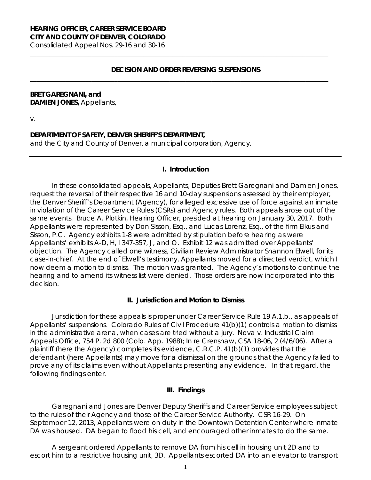# **HEARING OFFICER, CAREER SERVICE BOARD CITY AND COUNTY OF DENVER, COLORADO**

Consolidated Appeal Nos. 29-16 and 30-16

## **DECISION AND ORDER REVERSING SUSPENSIONS**

**\_\_\_\_\_\_\_\_\_\_\_\_\_\_\_\_\_\_\_\_\_\_\_\_\_\_\_\_\_\_\_\_\_\_\_\_\_\_\_\_\_\_\_\_\_\_\_\_\_\_\_\_\_\_\_\_\_\_\_\_\_\_\_\_\_\_\_\_\_\_\_\_\_\_\_\_\_\_\_\_\_\_\_\_\_\_\_\_\_\_\_\_**

**\_\_\_\_\_\_\_\_\_\_\_\_\_\_\_\_\_\_\_\_\_\_\_\_\_\_\_\_\_\_\_\_\_\_\_\_\_\_\_\_\_\_\_\_\_\_\_\_\_\_\_\_\_\_\_\_\_\_\_\_\_\_\_\_\_\_\_\_\_\_\_\_\_\_\_\_\_\_\_\_\_\_\_\_\_\_\_\_\_\_\_\_**

## **BRET GAREGNANI, and DAMIEN JONES,** Appellants,

v.

## **DEPARTMENT OF SAFETY, DENVER SHERIFF'S DEPARTMENT,**

and the City and County of Denver, a municipal corporation, Agency.

#### **I. Introduction**

In these consolidated appeals, Appellants, Deputies Brett Garegnani and Damien Jones, request the reversal of their respective 16 and 10-day suspensions assessed by their employer, the Denver Sheriff's Department (Agency), for alleged excessive use of force against an inmate in violation of the Career Service Rules (CSRs) and Agency rules. Both appeals arose out of the same events. Bruce A. Plotkin, Hearing Officer, presided at hearing on January 30, 2017. Both Appellants were represented by Don Sisson, Esq., and Lucas Lorenz, Esq., of the firm Elkus and Sisson, P.C. Agency exhibits 1-8 were admitted by stipulation before hearing as were Appellants' exhibits A-D, H, I 347-357, J, and O. Exhibit 12 was admitted over Appellants' objection. The Agency called one witness, Civilian Review Administrator Shannon Elwell, for its case-in-chief. At the end of Elwell's testimony, Appellants moved for a directed verdict, which I now deem a motion to dismiss. The motion was granted. The Agency's motions to continue the hearing and to amend its witness list were denied. Those orders are now incorporated into this decision.

## **II. Jurisdiction and Motion to Dismiss**

Jurisdiction for these appeals is proper under Career Service Rule 19 A.1.b., as appeals of Appellants' suspensions. Colorado Rules of Civil Procedure 41(b)(1) controls a motion to dismiss in the administrative arena, when cases are tried without a jury. Nova v. Industrial Claim Appeals Office, 754 P. 2d 800 (Colo. App. 1988); In re Crenshaw, CSA 18-06, 2 (4/6/06). After a plaintiff (here the Agency) completes its evidence, C.R.C.P. 41(b)(1) provides that the defendant (here Appellants) may move for a dismissal on the grounds that the Agency failed to prove any of its claims even without Appellants presenting any evidence. In that regard, the following findings enter.

### **III. Findings**

Garegnani and Jones are Denver Deputy Sheriffs and Career Service employees subject to the rules of their Agency and those of the Career Service Authority. CSR 16-29. On September 12, 2013, Appellants were on duty in the Downtown Detention Center where inmate DA was housed. DA began to flood his cell, and encouraged other inmates to do the same.

A sergeant ordered Appellants to remove DA from his cell in housing unit 2D and to escort him to a restrictive housing unit, 3D. Appellants escorted DA into an elevator to transport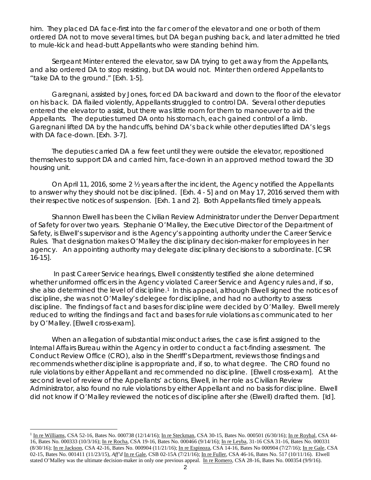him. They placed DA face-first into the far corner of the elevator and one or both of them ordered DA not to move several times, but DA began pushing back, and later admitted he tried to mule-kick and head-butt Appellants who were standing behind him.

Sergeant Minter entered the elevator, saw DA trying to get away from the Appellants, and also ordered DA to stop resisting, but DA would not. Minter then ordered Appellants to "take DA to the ground." [Exh. 1-5].

Garegnani, assisted by Jones, forced DA backward and down to the floor of the elevator on his back. DA flailed violently, Appellants struggled to control DA. Several other deputies entered the elevator to assist, but there was little room for them to manoeuver to aid the Appellants. The deputies turned DA onto his stomach, each gained control of a limb. Garegnani lifted DA by the handcuffs, behind DA's back while other deputies lifted DA's legs with DA face-down. [Exh. 3-7].

The deputies carried DA a few feet until they were outside the elevator, repositioned themselves to support DA and carried him, face-down in an approved method toward the 3D housing unit.

On April 11, 2016, some 2 ½ years after the incident, the Agency notified the Appellants to answer why they should not be disciplined. [Exh. 4 - 5] and on May 17, 2016 served them with their respective notices of suspension. [Exh. 1 and 2]. Both Appellants filed timely appeals.

Shannon Elwell has been the Civilian Review Administrator under the Denver Department of Safety for over two years. Stephanie O'Malley, the Executive Director of the Department of Safety, is Elwell's supervisor and is the Agency's appointing authority under the Career Service Rules. That designation makes O'Malley the disciplinary decision-maker for employees in her agency. An appointing authority may delegate disciplinary decisions to a subordinate. [CSR 16-15].

In past Career Service hearings, Elwell consistently testified she alone determined whether uniformed officers in the Agency violated Career Service and Agency rules and, if so, she also determined the level of discipline.<sup>[1](#page-1-0)</sup> In this appeal, although Elwell signed the notices of discipline, she was not O'Malley's delegee for discipline, and had no authority to assess discipline. The findings of fact and bases for discipline were decided by O'Malley. Elwell merely reduced to writing the findings and fact and bases for rule violations as communicated to her by O'Malley. [Elwell cross-exam].

When an allegation of substantial misconduct arises, the case is first assigned to the Internal Affairs Bureau within the Agency in order to conduct a fact-finding assessment. The Conduct Review Office (CRO), also in the Sheriff's Department, reviews those findings and recommends whether discipline is appropriate and, if so, to what degree. The CRO found no rule violations by either Appellant and recommended no discipline. [Elwell cross-exam]. At the second level of review of the Appellants' actions, Elwell, in her role as Civilian Review Administrator, also found no rule violations by either Appellant and no basis for discipline. Elwell did not know if O'Malley reviewed the notices of discipline after she (Elwell) drafted them. [*Id*].

j.

<span id="page-1-0"></span><sup>&</sup>lt;sup>1</sup> In re Williams, CSA 52-16, Bates No. 000738 (12/14/16); In re Steckman, CSA 30-15, Bates No. 000501 (6/30/16); In re Roybal, CSA 44-16, Bates No. 000333 (10/3/16); In re Rocha, CSA 19-16, Bates No. 000466 (9/14/16); In re Leyba, 31-16 CSA 31-16, Bates No. 000331 (8/30/16); In re Jackson, CSA 42-16, Bates No. 000904 (11/21/16); In re Espinoza, CSA 14-16, Bates No 000904 (7/27/16); In re Gale, CSA 02-15, Bates No. 001411 (11/23/15), *Aff'd* In re Gale, CSB 02-15A (7/21/16); In re Fuller, CSA 46-16, Bates No. 517 (10/11/16). Elwell stated O'Malley was the ultimate decision-maker in only one previous appeal. In re Romero, CSA 28-16, Bates No. 000354 (9/9/16).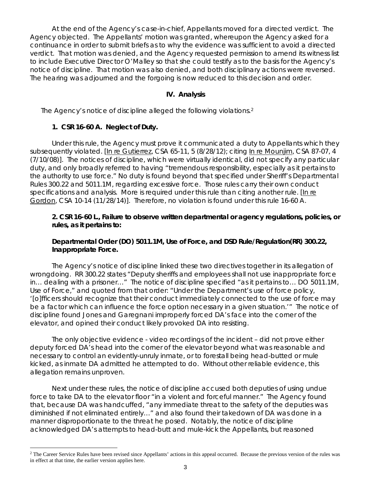At the end of the Agency's case-in-chief, Appellants moved for a directed verdict. The Agency objected. The Appellants' motion was granted, whereupon the Agency asked for a continuance in order to submit briefs as to why the evidence was sufficient to avoid a directed verdict. That motion was denied, and the Agency requested permission to amend its witness list to include Executive Director O'Malley so that she could testify as to the basis for the Agency's notice of discipline. That motion was also denied, and both disciplinary actions were reversed. The hearing was adjourned and the forgoing is now reduced to this decision and order.

## **IV. Analysis**

The Agency's notice of discipline alleged the following violations.[2](#page-2-0)

# **1. CSR 16-60 A. Neglect of Duty.**

Under this rule, the Agency must prove it communicated a duty to Appellants which they subsequently violated. [In re Gutierrez, CSA 65-11, 5 (8/28/12); *citing* In re Mounjim, CSA 87-07, 4 (7/10/08)]. The notices of discipline, which were virtually identical, did not specify any particular duty, and only broadly referred to having "tremendous responsibility, especially as it pertains to the authority to use force." No duty is found beyond that specified under Sheriff's Departmental Rules 300.22 and 5011.1M, regarding excessive force. Those rules carry their own conduct specifications and analysis. More is required under this rule than citing another rule. [In re Gordon, CSA 10-14 (11/28/14)]. Therefore, no violation is found under this rule 16-60 A.

# **2. CSR 16-60 L., Failure to observe written departmental or agency regulations, policies, or rules, as it pertains to:**

# **Departmental Order (DO) 5011.1M, Use of Force, and DSD Rule/Regulation(RR) 300.22, Inappropriate Force.**

The Agency's notice of discipline linked these two directives together in its allegation of wrongdoing. RR 300.22 states "Deputy sheriffs and employees shall not use inappropriate force in… dealing with a prisoner…" The notice of discipline specified "as it pertains to… DO 5011.1M, Use of Force," and quoted from that order: "Under the Department's use of force policy, '[o]fficers should recognize that their conduct immediately connected to the use of force may be a factor which can influence the force option necessary in a given situation.'" The notice of discipline found Jones and Garegnani improperly forced DA's face into the corner of the elevator, and opined their conduct likely provoked DA into resisting.

The only objective evidence - video recordings of the incident – did not prove either deputy forced DA's head into the corner of the elevator beyond what was reasonable and necessary to control an evidently-unruly inmate, or to forestall being head-butted or mule kicked, as inmate DA admitted he attempted to do. Without other reliable evidence, this allegation remains unproven.

Next under these rules, the notice of discipline accused both deputies of using undue force to take DA to the elevator floor "in a violent and forceful manner." The Agency found that, because DA was handcuffed, "any immediate threat to the safety of the deputies was diminished if not eliminated entirely…" and also found their takedown of DA was done in a manner disproportionate to the threat he posed. Notably, the notice of discipline acknowledged DA's attempts to head-butt and mule-kick the Appellants, but reasoned

<span id="page-2-0"></span><sup>÷,</sup> <sup>2</sup> The Career Service Rules have been revised since Appellants' actions in this appeal occurred. Because the previous version of the rules was in effect at that time, the earlier version applies here.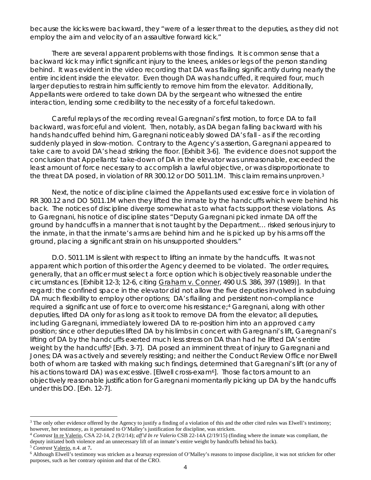because the kicks were backward, they "were of a lesser threat to the deputies, as they did not employ the aim and velocity of an assaultive forward kick."

There are several apparent problems with those findings. It is common sense that a backward kick may inflict significant injury to the knees, ankles or legs of the person standing behind. It was evident in the video recording that DA was flailing significantly during nearly the entire incident inside the elevator. Even though DA was handcuffed, it required four, much larger deputies to restrain him sufficiently to remove him from the elevator. Additionally, Appellants were ordered to take down DA by the sergeant who witnessed the entire interaction, lending some credibility to the necessity of a forceful takedown.

Careful replays of the recording reveal Garegnani's first motion, to force DA to fall backward, was forceful and violent. Then, notably, as DA began falling backward with his hands handcuffed behind him, Garegnani noticeably slowed DA's fall - as if the recording suddenly played in slow-motion. Contrary to the Agency's assertion, Garegnani appeared to take care to avoid DA's head striking the floor. [Exhibit 3-6]. The evidence does not support the conclusion that Appellants' take-down of DA in the elevator was unreasonable, exceeded the least amount of force necessary to accomplish a lawful objective, or was disproportionate to the threat DA posed, in violation of RR 300.12 or DO 5011.1M. This claim remains unproven.[3](#page-3-0)

Next, the notice of discipline claimed the Appellants used excessive force in violation of RR 300.12 and DO 5011.1M when they lifted the inmate by the handcuffs which were behind his back. The notices of discipline diverge somewhat as to what facts support these violations. As to Garegnani, his notice of discipline states "Deputy Garegnani picked inmate DA off the ground by handcuffs in a manner that is not taught by the Department… risked serious injury to the inmate, in that the inmate's arms are behind him and he is picked up by his arms off the ground, placing a significant strain on his unsupported shoulders."

D.O. 5011.1M is silent with respect to lifting an inmate by the handcuffs. It was not apparent which portion of this order the Agency deemed to be violated. The order requires, generally, that an officer must select a force option which is objectively reasonable under the circumstances. [Exhibit 12-3; 12-6, citing Graham v. Conner, 490 U.S. 386, 397 (1989)]. In that regard: the confined space in the elevator did not allow the five deputies involved in subduing DA much flexibility to employ other options; DA's flailing and persistent non-compliance required a significant use of force to overcome his resistance;<sup>4</sup> Garegnani, along with other deputies, lifted DA only for as long as it took to remove DA from the elevator; all deputies, including Garegnani, immediately lowered DA to re-position him into an approved carry position; since other deputies lifted DA by his limbs in concert with Garegnani's lift, Garegnani's lifting of DA by the handcuffs exerted much less stress on DA than had he lifted DA's entire weight by the handcuffs<sup>[5](#page-3-2)</sup> [Exh. 3-7]. DA posed an imminent threat of injury to Garegnani and Jones; DA was actively and severely resisting; and neither the Conduct Review Office nor Elwell both of whom are tasked with making such findings, determined that Garegnani's lift (or any of his actions toward DA) was excessive. [Elwell cross-exam<sup>[6](#page-3-3)</sup>]. Those factors amount to an objectively reasonable justification for Garegnani momentarily picking up DA by the handcuffs under this DO. [Exh. 12-7].

<span id="page-3-0"></span>É.  $3$  The only other evidence offered by the Agency to justify a finding of a violation of this and the other cited rules was Elwell's testimony; however, her testimony, as it pertained to O'Malley's justification for discipline, was stricken.

<span id="page-3-1"></span><sup>4</sup> *Contrast* In re Valerio, CSA 22-14, 2 (9/2/14); *aff'd In re Valerio* CSB 22-14A (2/19/15) (finding where the inmate was compliant, the deputy initiated both violence and an unnecessary lift of an inmate's entire weight by handcuffs behind his back). 5 *Contrast* Valerio, n.4. at 7**.** 

<span id="page-3-2"></span>

<span id="page-3-3"></span><sup>6</sup> Although Elwell's testimony was stricken as a hearsay expression of O'Malley's reasons to impose discipline, it was not stricken for other purposes, such as her contrary opinion and that of the CRO.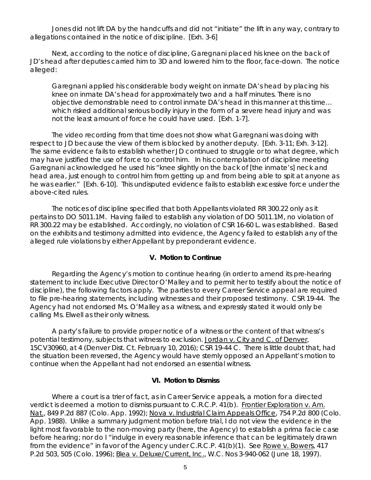Jones did not lift DA by the handcuffs and did not "initiate" the lift in any way, contrary to allegations contained in the notice of discipline. [Exh. 3-6]

Next, according to the notice of discipline, Garegnani placed his knee on the back of JD's head after deputies carried him to 3D and lowered him to the floor, face-down. The notice alleged:

Garegnani applied his considerable body weight on inmate DA's head by placing his knee on inmate DA's head for approximately two and a half minutes. There is no objective demonstrable need to control inmate DA's head in this manner at this time… which risked additional serious bodily injury in the form of a severe head injury and was not the least amount of force he could have used. [Exh. 1-7].

The video recording from that time does not show what Garegnani was doing with respect to JD because the view of them is blocked by another deputy. [Exh. 3-11; Exh. 3-12]. The same evidence fails to establish whether JD continued to struggle or to what degree, which may have justified the use of force to control him. In his contemplation of discipline meeting Garegnani acknowledged he used his "knee slightly on the back of [the inmate's] neck and head area, just enough to control him from getting up and from being able to spit at anyone as he was earlier." [Exh. 6-10]. This undisputed evidence fails to establish excessive force under the above-cited rules.

The notices of discipline specified that both Appellants violated RR 300.22 only as it pertains to DO 5011.1M. Having failed to establish any violation of DO 5011.1M, no violation of RR 300.22 may be established. Accordingly, no violation of CSR 16-60 L. was established. Based on the exhibits and testimony admitted into evidence, the Agency failed to establish any of the alleged rule violations by either Appellant by preponderant evidence.

#### **V. Motion to Continue**

Regarding the Agency's motion to continue hearing (in order to amend its pre-hearing statement to include Executive Director O'Malley and to permit her to testify about the notice of discipline), the following factors apply. The parties to every Career Service appeal are required to file pre-hearing statements, including witnesses and their proposed testimony. CSR 19-44. The Agency had not endorsed Ms. O'Malley as a witness, and expressly stated it would only be calling Ms. Elwell as their only witness.

A party's failure to provide proper notice of a witness or the content of that witness's potential testimony, subjects that witness to exclusion. Jordan v. City and C. of Denver, 15CV30960, at 4 (Denver Dist. Ct. February 10, 2016); CSR 19-44 C. There is little doubt that, had the situation been reversed, the Agency would have sternly opposed an Appellant's motion to continue when the Appellant had not endorsed an essential witness.

#### **VI. Motion to Dismiss**

Where a court is a trier of fact, as in Career Service appeals, a motion for a directed verdict is deemed a motion to dismiss pursuant to C.R.C.P. 41(b). Frontier Exploration v. Am. Nat., 849 P.2d 887 (Colo. App. 1992); Nova v. Industrial Claim Appeals Office, 754 P.2d 800 (Colo. App. 1988). Unlike a summary judgment motion before trial, I do not view the evidence in the light most favorable to the non-moving party (here, the Agency) to establish a *prima facie* case before hearing; nor do I "indulge in every reasonable inference that can be legitimately drawn from the evidence" in favor of the Agency under C.R.C.P. 41(b)(1). See Rowe v. Bowers, 417 P.2d 503, 505 (Colo. 1996); Blea v. Deluxe/Current, Inc., W.C. Nos 3-940-062 (June 18, 1997).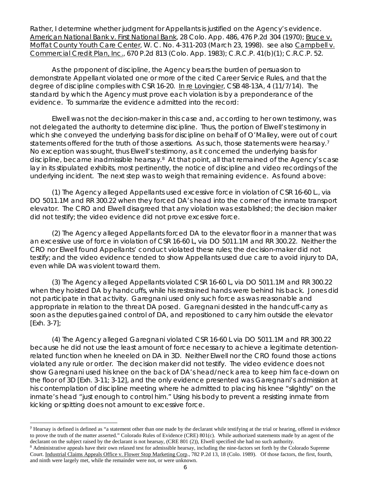Rather, I determine whether judgment for Appellants is justified on the Agency's evidence. American National Bank v. First National Bank, 28 Colo. App. 486, 476 P.2d 304 (1970); Bruce v. Moffat County Youth Care Center, W. C. No. 4-311-203 (March 23, 1998). *see also* Campbell v. Commercial Credit Plan, Inc., 670 P.2d 813 (Colo. App. 1983); C.R.C.P. 41(b)(1); C.R.C.P. 52.

As the proponent of discipline, the Agency bears the burden of persuasion to demonstrate Appellant violated one or more of the cited Career Service Rules, and that the degree of discipline complies with CSR 16-20. In re Lovingier, CSB 48-13A, 4 (11/7/14). The standard by which the Agency must prove each violation is by a preponderance of the evidence. To summarize the evidence admitted into the record:

Elwell was not the decision-maker in this case and, according to her own testimony, was not delegated the authority to determine discipline. Thus, the portion of Elwell's testimony in which she conveyed the underlying basis for discipline on behalf of O'Malley, were out of court statements offered for the truth of those assertions. As such, those statements were hearsay.<sup>[7](#page-5-0)</sup> No exception was sought, thus Elwell's testimony, as it concerned the underlying basis for discipline, became inadmissible hearsay.[8](#page-5-1) At that point, all that remained of the Agency's case lay in its stipulated exhibits, most pertinently, the notice of discipline and video recordings of the underlying incident. The next step was to weigh that remaining evidence. As found above:

(1) The Agency alleged Appellants used excessive force in violation of CSR 16-60 L., via DO 5011.1M and RR 300.22 when they forced DA's head into the corner of the inmate transport elevator. The CRO and Elwell disagreed that any violation was established; the decision maker did not testify; the video evidence did not prove excessive force.

(2) The Agency alleged Appellants forced DA to the elevator floor in a manner that was an excessive use of force in violation of CSR 16-60 L, via DO 5011.1M and RR 300.22. Neither the CRO nor Elwell found Appellants' conduct violated these rules; the decision-maker did not testify; and the video evidence tended to show Appellants used due care to avoid injury to DA, even while DA was violent toward them.

(3) The Agency alleged Appellants violated CSR 16-60 L, via DO 5011.1M and RR 300.22 when they hoisted DA by handcuffs, while his restrained hands were behind his back. Jones did not participate in that activity. Garegnani used only such force as was reasonable and appropriate in relation to the threat DA posed. Garegnani desisted in the handcuff-carry as soon as the deputies gained control of DA, and repositioned to carry him outside the elevator [Exh. 3-7];

(4) The Agency alleged Garegnani violated CSR 16-60 L via DO 5011.1M and RR 300.22 because he did not use the least amount of force necessary to achieve a legitimate detentionrelated function when he kneeled on DA in 3D. Neither Elwell nor the CRO found those actions violated any rule or order. The decision maker did not testify. The video evidence does not show Garegnani used his knee on the back of DA's head/neck area to keep him face-down on the floor of 3D [Exh. 3-11; 3-12], and the only evidence presented was Garegnani's admission at his contemplation of discipline meeting where he admitted to placing his knee "slightly" on the inmate's head "just enough to control him." Using his body to prevent a resisting inmate from kicking or spitting does not amount to excessive force.

<span id="page-5-1"></span><span id="page-5-0"></span>**<sup>7</sup>** Hearsay is defined is defined as "a statement other than one made by the declarant while testifying at the trial or hearing, offered in evidence to prove the truth of the matter asserted." Colorado Rules of Evidence (CRE) 801(c). While authorized statements made by an agent of the declarant on the subject raised by the declarant is not hearsay, (CRE 801 (2)), Elwell specified she had no such authority. <sup>8</sup> Administrative appeals have their own relaxed test for admissible hearsay, including the nine-factors set forth by the Colorado Supreme Court. Industrial Claims Appeals Office v. Flower Stop Marketing Corp., 782 P.2d 13, 18 (Colo. 1989). Of those factors, the first, fourth, and ninth were largely met, while the remainder were not, or were unknown.

É.